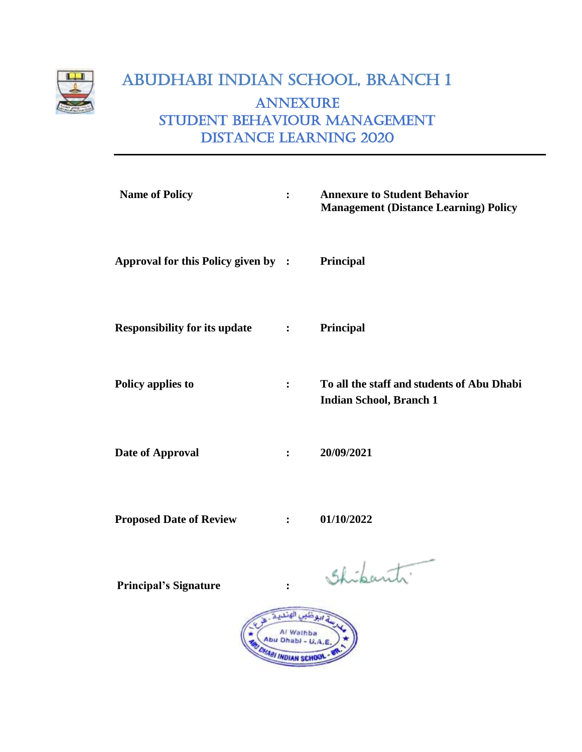

## ABUDHABI INDIAN SCHOOL, BRANCH 1 ANNEXURE Student Behaviour Management Distance Learning 2020

| <b>Name of Policy</b>                | $\ddot{\cdot}$    | <b>Annexure to Student Behavior</b><br><b>Management (Distance Learning) Policy</b>                                                                                                                                               |
|--------------------------------------|-------------------|-----------------------------------------------------------------------------------------------------------------------------------------------------------------------------------------------------------------------------------|
| Approval for this Policy given by :  |                   | Principal                                                                                                                                                                                                                         |
| <b>Responsibility for its update</b> | $\sim$ 100 $\sim$ | Principal                                                                                                                                                                                                                         |
| Policy applies to                    | $\ddot{\cdot}$    | To all the staff and students of Abu Dhabi<br><b>Indian School, Branch 1</b>                                                                                                                                                      |
| Date of Approval                     | $\ddot{\bullet}$  | 20/09/2021                                                                                                                                                                                                                        |
| <b>Proposed Date of Review</b>       | $\ddot{\bullet}$  | 01/10/2022                                                                                                                                                                                                                        |
|                                      |                   | $\mathbf{r}$ . The contract of the contract of the contract of the contract of the contract of the contract of the contract of the contract of the contract of the contract of the contract of the contract of the contract of th |

 **Principal's Signature :** 

Shipanti.

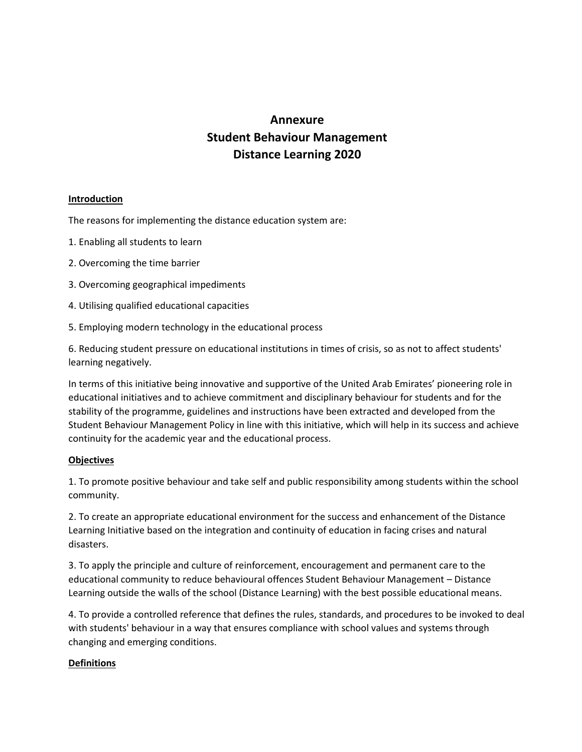## **Annexure Student Behaviour Management Distance Learning 2020**

## **Introduction**

The reasons for implementing the distance education system are:

- 1. Enabling all students to learn
- 2. Overcoming the time barrier
- 3. Overcoming geographical impediments
- 4. Utilising qualified educational capacities
- 5. Employing modern technology in the educational process

6. Reducing student pressure on educational institutions in times of crisis, so as not to affect students' learning negatively.

In terms of this initiative being innovative and supportive of the United Arab Emirates' pioneering role in educational initiatives and to achieve commitment and disciplinary behaviour for students and for the stability of the programme, guidelines and instructions have been extracted and developed from the Student Behaviour Management Policy in line with this initiative, which will help in its success and achieve continuity for the academic year and the educational process.

#### **Objectives**

1. To promote positive behaviour and take self and public responsibility among students within the school community.

2. To create an appropriate educational environment for the success and enhancement of the Distance Learning Initiative based on the integration and continuity of education in facing crises and natural disasters.

3. To apply the principle and culture of reinforcement, encouragement and permanent care to the educational community to reduce behavioural offences Student Behaviour Management – Distance Learning outside the walls of the school (Distance Learning) with the best possible educational means.

4. To provide a controlled reference that defines the rules, standards, and procedures to be invoked to deal with students' behaviour in a way that ensures compliance with school values and systems through changing and emerging conditions.

## **Definitions**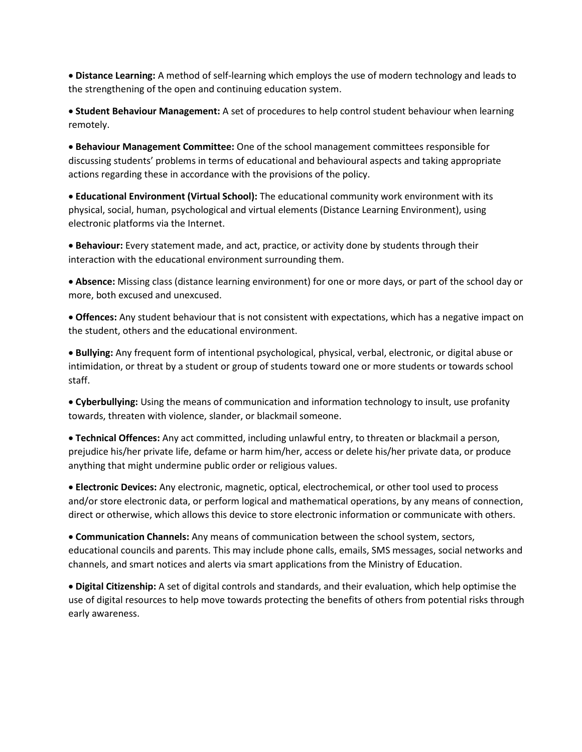• **Distance Learning:** A method of self-learning which employs the use of modern technology and leads to the strengthening of the open and continuing education system.

• **Student Behaviour Management:** A set of procedures to help control student behaviour when learning remotely.

• **Behaviour Management Committee:** One of the school management committees responsible for discussing students' problems in terms of educational and behavioural aspects and taking appropriate actions regarding these in accordance with the provisions of the policy.

• **Educational Environment (Virtual School):** The educational community work environment with its physical, social, human, psychological and virtual elements (Distance Learning Environment), using electronic platforms via the Internet.

• **Behaviour:** Every statement made, and act, practice, or activity done by students through their interaction with the educational environment surrounding them.

• **Absence:** Missing class (distance learning environment) for one or more days, or part of the school day or more, both excused and unexcused.

• **Offences:** Any student behaviour that is not consistent with expectations, which has a negative impact on the student, others and the educational environment.

• **Bullying:** Any frequent form of intentional psychological, physical, verbal, electronic, or digital abuse or intimidation, or threat by a student or group of students toward one or more students or towards school staff.

• **Cyberbullying:** Using the means of communication and information technology to insult, use profanity towards, threaten with violence, slander, or blackmail someone.

• **Technical Offences:** Any act committed, including unlawful entry, to threaten or blackmail a person, prejudice his/her private life, defame or harm him/her, access or delete his/her private data, or produce anything that might undermine public order or religious values.

• **Electronic Devices:** Any electronic, magnetic, optical, electrochemical, or other tool used to process and/or store electronic data, or perform logical and mathematical operations, by any means of connection, direct or otherwise, which allows this device to store electronic information or communicate with others.

• **Communication Channels:** Any means of communication between the school system, sectors, educational councils and parents. This may include phone calls, emails, SMS messages, social networks and channels, and smart notices and alerts via smart applications from the Ministry of Education.

• **Digital Citizenship:** A set of digital controls and standards, and their evaluation, which help optimise the use of digital resources to help move towards protecting the benefits of others from potential risks through early awareness.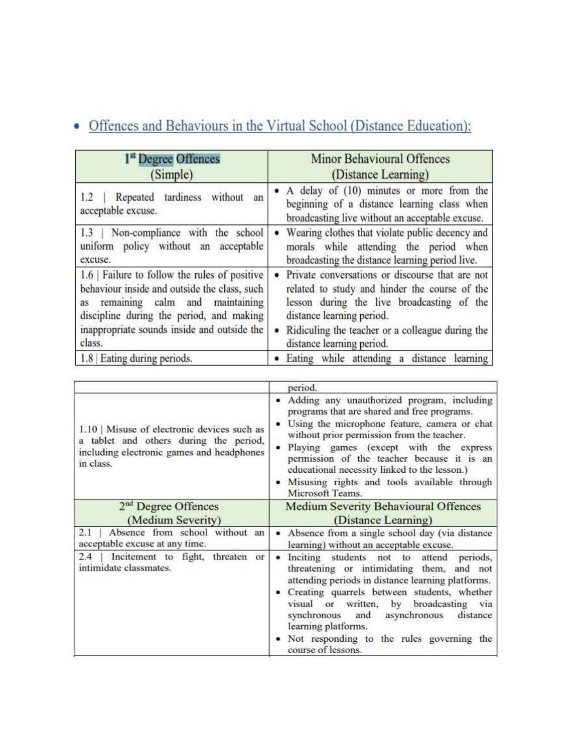# • Offences and Behaviours in the Virtual School (Distance Education):

| 1 <sup>st</sup> Degree Offences                                                          | <b>Minor Behavioural Offences</b>                                                                                                            |
|------------------------------------------------------------------------------------------|----------------------------------------------------------------------------------------------------------------------------------------------|
| (Simple)                                                                                 | (Distance Learning)                                                                                                                          |
| Repeated tardiness without an                                                            | • A delay of (10) minutes or more from the                                                                                                   |
| 1.2                                                                                      | beginning of a distance learning class when                                                                                                  |
| acceptable excuse.                                                                       | broadcasting live without an acceptable excuse.                                                                                              |
| Non-compliance with the school<br>1.3<br>uniform policy without an acceptable<br>excuse. | Wearing clothes that violate public decency and<br>morals while attending the period when<br>broadcasting the distance learning period live. |
| 1.6 Failure to follow the rules of positive                                              | Private conversations or discourse that are not                                                                                              |
| behaviour inside and outside the class, such                                             | related to study and hinder the course of the                                                                                                |
| as remaining calm and maintaining                                                        | lesson during the live broadcasting of the                                                                                                   |
| discipline during the period, and making                                                 | distance learning period.                                                                                                                    |
| inappropriate sounds inside and outside the                                              | Ridiculing the teacher or a colleague during the                                                                                             |
| class.                                                                                   | distance learning period.                                                                                                                    |
| 1.8 Eating during periods.                                                               | Eating while attending a distance learning                                                                                                   |

|                                                                                                                                                   | period.                                                                                                                                                                                                                                                                                                                                                                                                           |
|---------------------------------------------------------------------------------------------------------------------------------------------------|-------------------------------------------------------------------------------------------------------------------------------------------------------------------------------------------------------------------------------------------------------------------------------------------------------------------------------------------------------------------------------------------------------------------|
| $1.10$   Misuse of electronic devices such as<br>a tablet and others during the period,<br>including electronic games and headphones<br>in class. | · Adding any unauthorized program, including<br>programs that are shared and free programs.<br>Using the microphone feature, camera or chat<br>without prior permission from the teacher.<br>Playing games (except with the express<br>$\bullet$<br>permission of the teacher because it is an<br>educational necessity linked to the lesson.)<br>Misusing rights and tools available through<br>Microsoft Teams. |
| 2 <sup>nd</sup> Degree Offences                                                                                                                   | <b>Medium Severity Behavioural Offences</b>                                                                                                                                                                                                                                                                                                                                                                       |
| (Medium Severity)                                                                                                                                 | (Distance Learning)                                                                                                                                                                                                                                                                                                                                                                                               |
| Absence from school without an<br>2.1<br>acceptable excuse at any time.                                                                           | • Absence from a single school day (via distance<br>learning) without an acceptable excuse.                                                                                                                                                                                                                                                                                                                       |
| 2.4<br>Incitement to fight, threaten or<br>intimidate classmates.                                                                                 | Inciting students not to attend periods,<br>threatening or intimidating them, and not<br>attending periods in distance learning platforms.<br>• Creating quarrels between students, whether<br>visual or written, by broadcasting via<br>and asynchronous<br>synchronous<br>distance<br>learning platforms.<br>• Not responding to the rules governing the<br>course of lessons.                                  |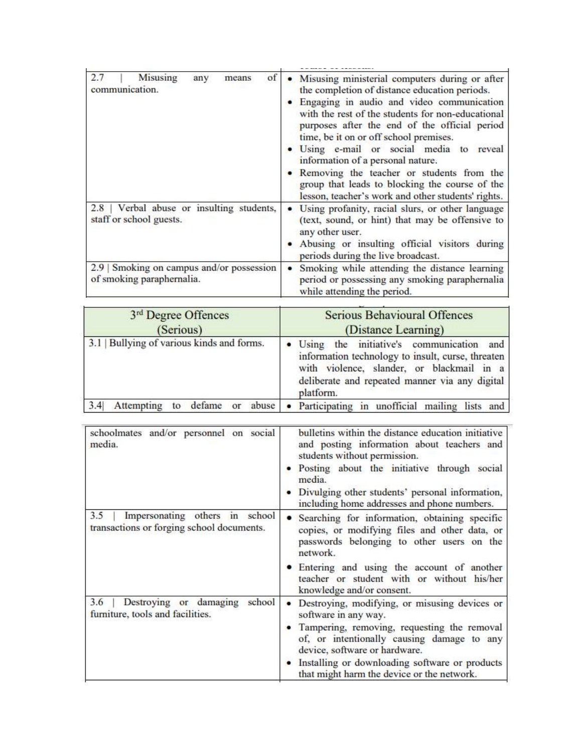| 2.7<br>Misusing<br>of<br>means<br>any<br>communication.                | Misusing ministerial computers during or after<br>the completion of distance education periods.<br>• Engaging in audio and video communication<br>with the rest of the students for non-educational<br>purposes after the end of the official period<br>time, be it on or off school premises.<br>· Using e-mail or social media to reveal<br>information of a personal nature.<br>Removing the teacher or students from the<br>group that leads to blocking the course of the<br>lesson, teacher's work and other students' rights. |
|------------------------------------------------------------------------|--------------------------------------------------------------------------------------------------------------------------------------------------------------------------------------------------------------------------------------------------------------------------------------------------------------------------------------------------------------------------------------------------------------------------------------------------------------------------------------------------------------------------------------|
| 2.8   Verbal abuse or insulting students,<br>staff or school guests.   | Using profanity, racial slurs, or other language<br>(text, sound, or hint) that may be offensive to<br>any other user.<br>Abusing or insulting official visitors during<br>periods during the live broadcast.                                                                                                                                                                                                                                                                                                                        |
| 2.9   Smoking on campus and/or possession<br>of smoking paraphernalia. | Smoking while attending the distance learning<br>٠<br>period or possessing any smoking paraphernalia<br>while attending the period.                                                                                                                                                                                                                                                                                                                                                                                                  |

| 3 <sup>rd</sup> Degree Offences<br>(Serious) | <b>Serious Behavioural Offences</b><br>(Distance Learning)                                                                                   |
|----------------------------------------------|----------------------------------------------------------------------------------------------------------------------------------------------|
| 3.1   Bullying of various kinds and forms.   | · Using the initiative's communication and<br>information technology to insult, curse, threaten<br>with violence, slander, or blackmail in a |
|                                              | deliberate and repeated manner via any digital<br>platform.                                                                                  |

| schoolmates and/or personnel on social<br>media.                                   | bulletins within the distance education initiative<br>and posting information about teachers and<br>students without permission.<br>Posting about the initiative through social<br>media.<br>Divulging other students' personal information,<br>including home addresses and phone numbers. |
|------------------------------------------------------------------------------------|---------------------------------------------------------------------------------------------------------------------------------------------------------------------------------------------------------------------------------------------------------------------------------------------|
| Impersonating others in school<br>3.5<br>transactions or forging school documents. | Searching for information, obtaining specific<br>copies, or modifying files and other data, or<br>passwords belonging to other users on the<br>network.                                                                                                                                     |
|                                                                                    | Entering and using the account of another<br>teacher or student with or without his/her<br>knowledge and/or consent.                                                                                                                                                                        |
| school<br>Destroying or damaging<br>3.6<br>furniture, tools and facilities.        | Destroying, modifying, or misusing devices or<br>software in any way.                                                                                                                                                                                                                       |
|                                                                                    | Tampering, removing, requesting the removal<br>of, or intentionally causing damage to any<br>device, software or hardware.                                                                                                                                                                  |
|                                                                                    | Installing or downloading software or products<br>that might harm the device or the network.                                                                                                                                                                                                |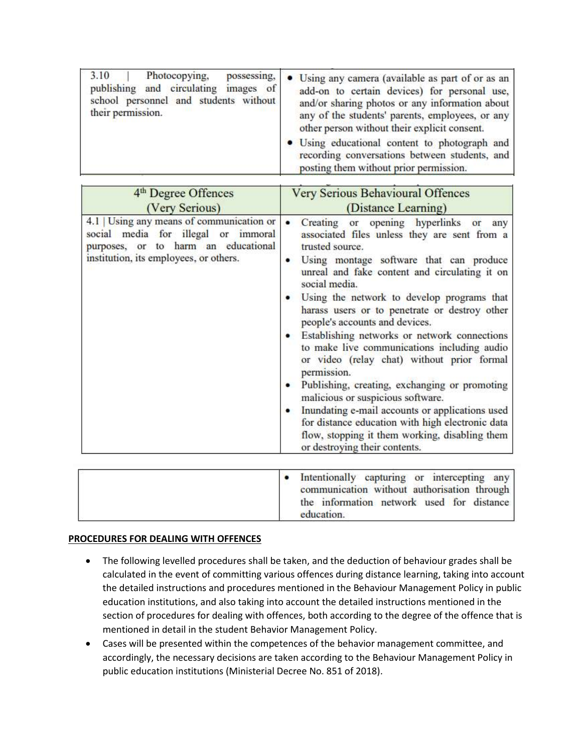| 3.10<br>Photocopying,<br>possessing,<br>publishing and circulating images of<br>school personnel and students without<br>their permission. | • Using any camera (available as part of or as an<br>add-on to certain devices) for personal use,<br>and/or sharing photos or any information about<br>any of the students' parents, employees, or any<br>other person without their explicit consent. |
|--------------------------------------------------------------------------------------------------------------------------------------------|--------------------------------------------------------------------------------------------------------------------------------------------------------------------------------------------------------------------------------------------------------|
|                                                                                                                                            | • Using educational content to photograph and<br>recording conversations between students, and<br>posting them without prior permission.                                                                                                               |

| 4 <sup>th</sup> Degree Offences                                                                                                                                   | <b>Very Serious Behavioural Offences</b>                                                                                                                                                                                                                                                                                                                                                                                                                                                                                                                                                                                                                                                                                                                                                              |
|-------------------------------------------------------------------------------------------------------------------------------------------------------------------|-------------------------------------------------------------------------------------------------------------------------------------------------------------------------------------------------------------------------------------------------------------------------------------------------------------------------------------------------------------------------------------------------------------------------------------------------------------------------------------------------------------------------------------------------------------------------------------------------------------------------------------------------------------------------------------------------------------------------------------------------------------------------------------------------------|
| (Very Serious)                                                                                                                                                    | (Distance Learning)                                                                                                                                                                                                                                                                                                                                                                                                                                                                                                                                                                                                                                                                                                                                                                                   |
| 4.1   Using any means of communication or<br>social media for illegal or immoral<br>purposes, or to harm an educational<br>institution, its employees, or others. | Creating or opening hyperlinks or<br>any<br>associated files unless they are sent from a<br>trusted source.<br>Using montage software that can produce<br>unreal and fake content and circulating it on<br>social media.<br>Using the network to develop programs that<br>harass users or to penetrate or destroy other<br>people's accounts and devices.<br>Establishing networks or network connections<br>to make live communications including audio<br>or video (relay chat) without prior formal<br>permission.<br>Publishing, creating, exchanging or promoting<br>malicious or suspicious software.<br>Inundating e-mail accounts or applications used<br>for distance education with high electronic data<br>flow, stopping it them working, disabling them<br>or destroying their contents. |

| • Intentionally capturing or intercepting any<br>communication without authorisation through<br>the information network used for distance |
|-------------------------------------------------------------------------------------------------------------------------------------------|
| education.                                                                                                                                |

## **PROCEDURES FOR DEALING WITH OFFENCES**

- The following levelled procedures shall be taken, and the deduction of behaviour grades shall be calculated in the event of committing various offences during distance learning, taking into account the detailed instructions and procedures mentioned in the Behaviour Management Policy in public education institutions, and also taking into account the detailed instructions mentioned in the section of procedures for dealing with offences, both according to the degree of the offence that is mentioned in detail in the student Behavior Management Policy.
- Cases will be presented within the competences of the behavior management committee, and accordingly, the necessary decisions are taken according to the Behaviour Management Policy in public education institutions (Ministerial Decree No. 851 of 2018).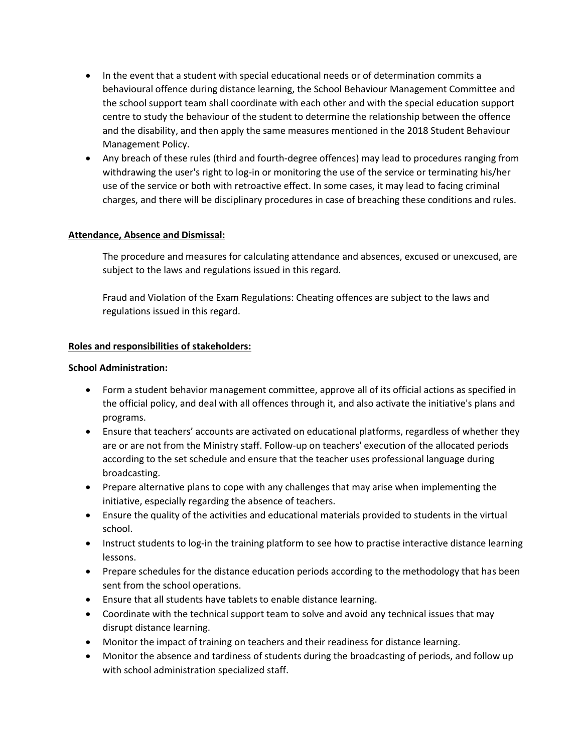- In the event that a student with special educational needs or of determination commits a behavioural offence during distance learning, the School Behaviour Management Committee and the school support team shall coordinate with each other and with the special education support centre to study the behaviour of the student to determine the relationship between the offence and the disability, and then apply the same measures mentioned in the 2018 Student Behaviour Management Policy.
- Any breach of these rules (third and fourth-degree offences) may lead to procedures ranging from withdrawing the user's right to log-in or monitoring the use of the service or terminating his/her use of the service or both with retroactive effect. In some cases, it may lead to facing criminal charges, and there will be disciplinary procedures in case of breaching these conditions and rules.

## **Attendance, Absence and Dismissal:**

The procedure and measures for calculating attendance and absences, excused or unexcused, are subject to the laws and regulations issued in this regard.

Fraud and Violation of the Exam Regulations: Cheating offences are subject to the laws and regulations issued in this regard.

## **Roles and responsibilities of stakeholders:**

## **School Administration:**

- Form a student behavior management committee, approve all of its official actions as specified in the official policy, and deal with all offences through it, and also activate the initiative's plans and programs.
- Ensure that teachers' accounts are activated on educational platforms, regardless of whether they are or are not from the Ministry staff. Follow-up on teachers' execution of the allocated periods according to the set schedule and ensure that the teacher uses professional language during broadcasting.
- Prepare alternative plans to cope with any challenges that may arise when implementing the initiative, especially regarding the absence of teachers.
- Ensure the quality of the activities and educational materials provided to students in the virtual school.
- Instruct students to log-in the training platform to see how to practise interactive distance learning lessons.
- Prepare schedules for the distance education periods according to the methodology that has been sent from the school operations.
- Ensure that all students have tablets to enable distance learning.
- Coordinate with the technical support team to solve and avoid any technical issues that may disrupt distance learning.
- Monitor the impact of training on teachers and their readiness for distance learning.
- Monitor the absence and tardiness of students during the broadcasting of periods, and follow up with school administration specialized staff.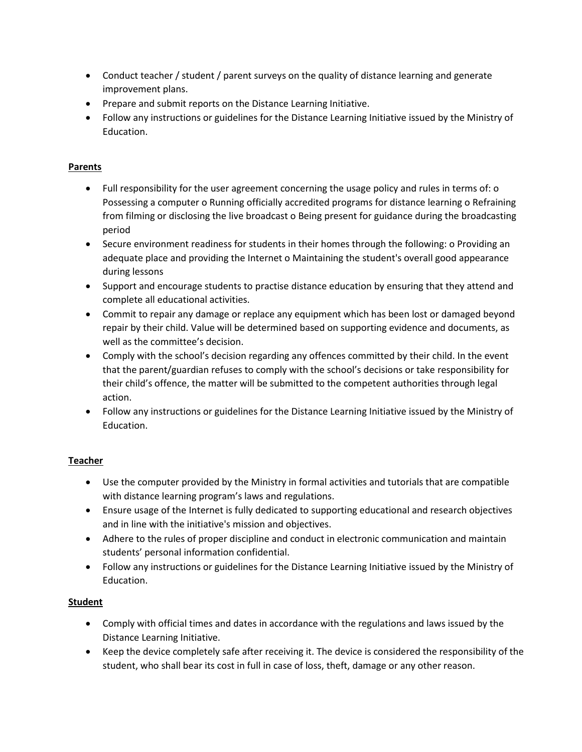- Conduct teacher / student / parent surveys on the quality of distance learning and generate improvement plans.
- Prepare and submit reports on the Distance Learning Initiative.
- Follow any instructions or guidelines for the Distance Learning Initiative issued by the Ministry of Education.

## **Parents**

- Full responsibility for the user agreement concerning the usage policy and rules in terms of: o Possessing a computer o Running officially accredited programs for distance learning o Refraining from filming or disclosing the live broadcast o Being present for guidance during the broadcasting period
- Secure environment readiness for students in their homes through the following: o Providing an adequate place and providing the Internet o Maintaining the student's overall good appearance during lessons
- Support and encourage students to practise distance education by ensuring that they attend and complete all educational activities.
- Commit to repair any damage or replace any equipment which has been lost or damaged beyond repair by their child. Value will be determined based on supporting evidence and documents, as well as the committee's decision.
- Comply with the school's decision regarding any offences committed by their child. In the event that the parent/guardian refuses to comply with the school's decisions or take responsibility for their child's offence, the matter will be submitted to the competent authorities through legal action.
- Follow any instructions or guidelines for the Distance Learning Initiative issued by the Ministry of Education.

## **Teacher**

- Use the computer provided by the Ministry in formal activities and tutorials that are compatible with distance learning program's laws and regulations.
- Ensure usage of the Internet is fully dedicated to supporting educational and research objectives and in line with the initiative's mission and objectives.
- Adhere to the rules of proper discipline and conduct in electronic communication and maintain students' personal information confidential.
- Follow any instructions or guidelines for the Distance Learning Initiative issued by the Ministry of Education.

## **Student**

- Comply with official times and dates in accordance with the regulations and laws issued by the Distance Learning Initiative.
- Keep the device completely safe after receiving it. The device is considered the responsibility of the student, who shall bear its cost in full in case of loss, theft, damage or any other reason.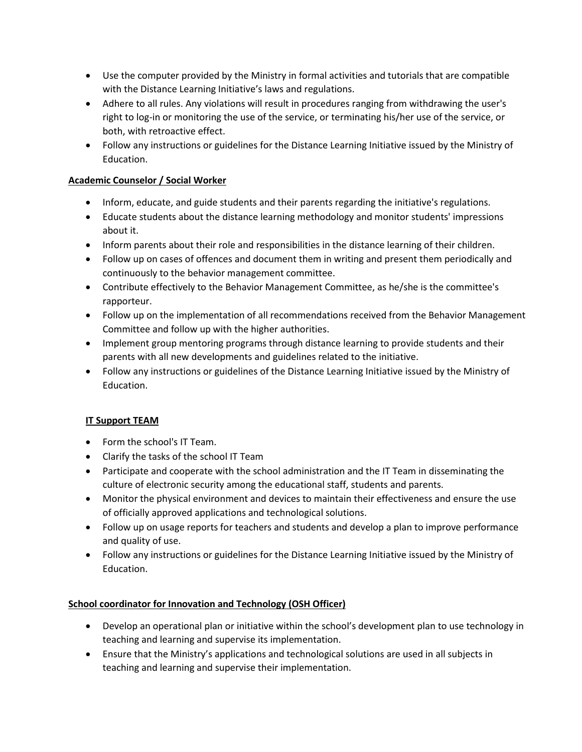- Use the computer provided by the Ministry in formal activities and tutorials that are compatible with the Distance Learning Initiative's laws and regulations.
- Adhere to all rules. Any violations will result in procedures ranging from withdrawing the user's right to log-in or monitoring the use of the service, or terminating his/her use of the service, or both, with retroactive effect.
- Follow any instructions or guidelines for the Distance Learning Initiative issued by the Ministry of Education.

## **Academic Counselor / Social Worker**

- Inform, educate, and guide students and their parents regarding the initiative's regulations.
- Educate students about the distance learning methodology and monitor students' impressions about it.
- Inform parents about their role and responsibilities in the distance learning of their children.
- Follow up on cases of offences and document them in writing and present them periodically and continuously to the behavior management committee.
- Contribute effectively to the Behavior Management Committee, as he/she is the committee's rapporteur.
- Follow up on the implementation of all recommendations received from the Behavior Management Committee and follow up with the higher authorities.
- Implement group mentoring programs through distance learning to provide students and their parents with all new developments and guidelines related to the initiative.
- Follow any instructions or guidelines of the Distance Learning Initiative issued by the Ministry of Education.

## **IT Support TEAM**

- Form the school's IT Team.
- Clarify the tasks of the school IT Team
- Participate and cooperate with the school administration and the IT Team in disseminating the culture of electronic security among the educational staff, students and parents.
- Monitor the physical environment and devices to maintain their effectiveness and ensure the use of officially approved applications and technological solutions.
- Follow up on usage reports for teachers and students and develop a plan to improve performance and quality of use.
- Follow any instructions or guidelines for the Distance Learning Initiative issued by the Ministry of Education.

## **School coordinator for Innovation and Technology (OSH Officer)**

- Develop an operational plan or initiative within the school's development plan to use technology in teaching and learning and supervise its implementation.
- Ensure that the Ministry's applications and technological solutions are used in all subjects in teaching and learning and supervise their implementation.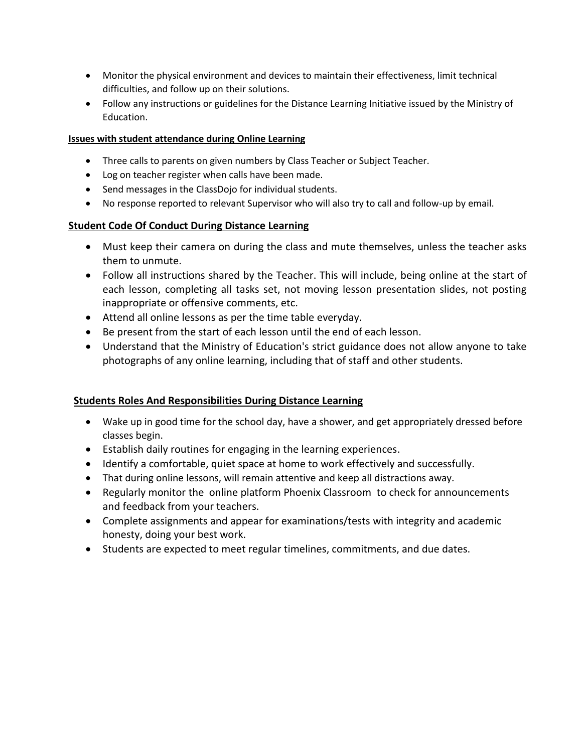- Monitor the physical environment and devices to maintain their effectiveness, limit technical difficulties, and follow up on their solutions.
- Follow any instructions or guidelines for the Distance Learning Initiative issued by the Ministry of Education.

## **Issues with student attendance during Online Learning**

- Three calls to parents on given numbers by Class Teacher or Subject Teacher.
- Log on teacher register when calls have been made.
- Send messages in the ClassDojo for individual students.
- No response reported to relevant Supervisor who will also try to call and follow-up by email.

## **Student Code Of Conduct During Distance Learning**

- Must keep their camera on during the class and mute themselves, unless the teacher asks them to unmute.
- Follow all instructions shared by the Teacher. This will include, being online at the start of each lesson, completing all tasks set, not moving lesson presentation slides, not posting inappropriate or offensive comments, etc.
- Attend all online lessons as per the time table everyday.
- Be present from the start of each lesson until the end of each lesson.
- Understand that the Ministry of Education's strict guidance does not allow anyone to take photographs of any online learning, including that of staff and other students.

## **Students Roles And Responsibilities During Distance Learning**

- Wake up in good time for the school day, have a shower, and get appropriately dressed before classes begin.
- Establish daily routines for engaging in the learning experiences.
- Identify a comfortable, quiet space at home to work effectively and successfully.
- That during online lessons, will remain attentive and keep all distractions away.
- Regularly monitor the online platform Phoenix Classroom to check for announcements and feedback from your teachers.
- Complete assignments and appear for examinations/tests with integrity and academic honesty, doing your best work.
- Students are expected to meet regular timelines, commitments, and due dates.